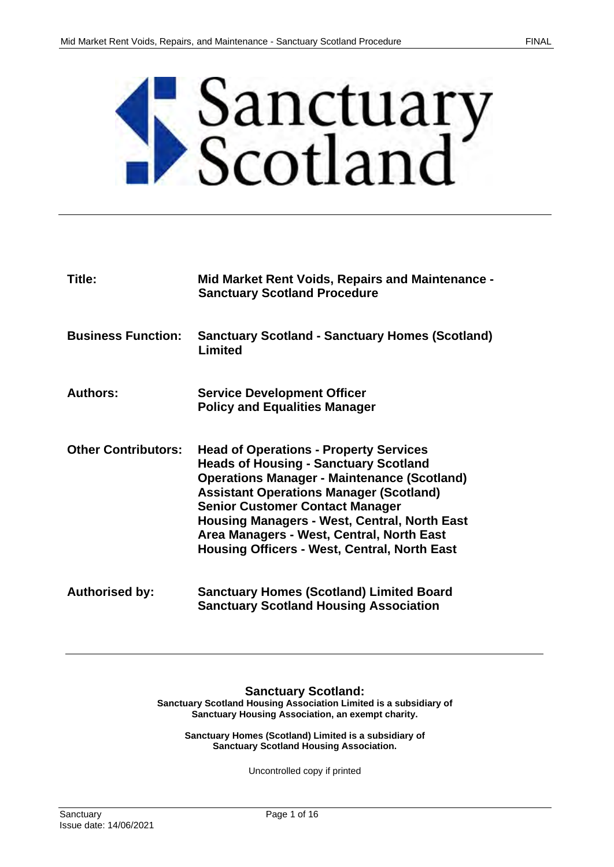

| Title:                     | Mid Market Rent Voids, Repairs and Maintenance -<br><b>Sanctuary Scotland Procedure</b>                                                                                                                                                                                                                                                                                                                    |
|----------------------------|------------------------------------------------------------------------------------------------------------------------------------------------------------------------------------------------------------------------------------------------------------------------------------------------------------------------------------------------------------------------------------------------------------|
| <b>Business Function:</b>  | <b>Sanctuary Scotland - Sanctuary Homes (Scotland)</b><br>Limited                                                                                                                                                                                                                                                                                                                                          |
| Authors:                   | <b>Service Development Officer</b>                                                                                                                                                                                                                                                                                                                                                                         |
|                            | <b>Policy and Equalities Manager</b>                                                                                                                                                                                                                                                                                                                                                                       |
| <b>Other Contributors:</b> | <b>Head of Operations - Property Services</b><br><b>Heads of Housing - Sanctuary Scotland</b><br><b>Operations Manager - Maintenance (Scotland)</b><br><b>Assistant Operations Manager (Scotland)</b><br><b>Senior Customer Contact Manager</b><br><b>Housing Managers - West, Central, North East</b><br>Area Managers - West, Central, North East<br><b>Housing Officers - West, Central, North East</b> |
| <b>Authorised by:</b>      | <b>Sanctuary Homes (Scotland) Limited Board</b><br><b>Sanctuary Scotland Housing Association</b>                                                                                                                                                                                                                                                                                                           |

**Sanctuary Scotland: Sanctuary Scotland Housing Association Limited is a subsidiary of Sanctuary Housing Association, an exempt charity.**

**Sanctuary Homes (Scotland) Limited is a subsidiary of Sanctuary Scotland Housing Association.**

Uncontrolled copy if printed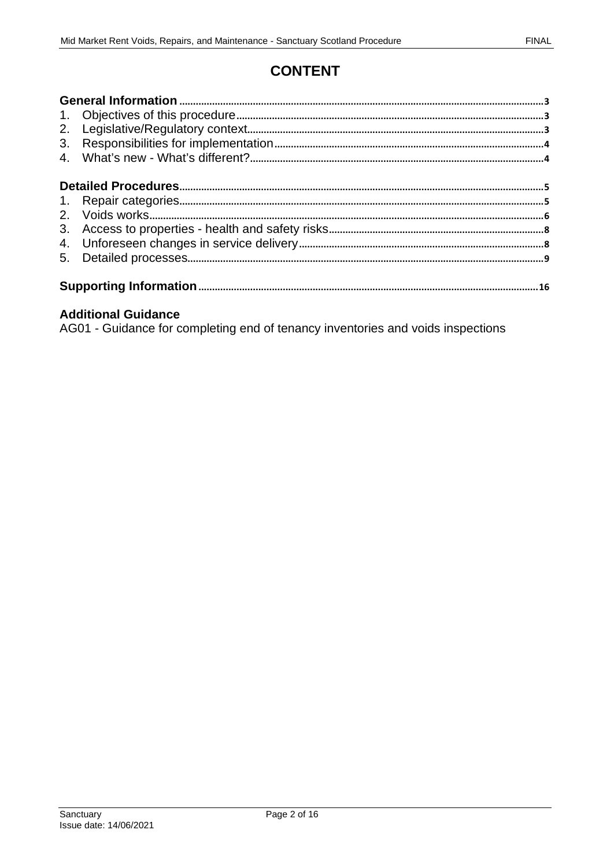# **CONTENT**

| 2.<br>3.       |  |
|----------------|--|
|                |  |
|                |  |
|                |  |
| 3 <sub>1</sub> |  |
|                |  |
| 5.             |  |
|                |  |

## **Additional Guidance**

AG01 - Guidance for completing end of tenancy inventories and voids inspections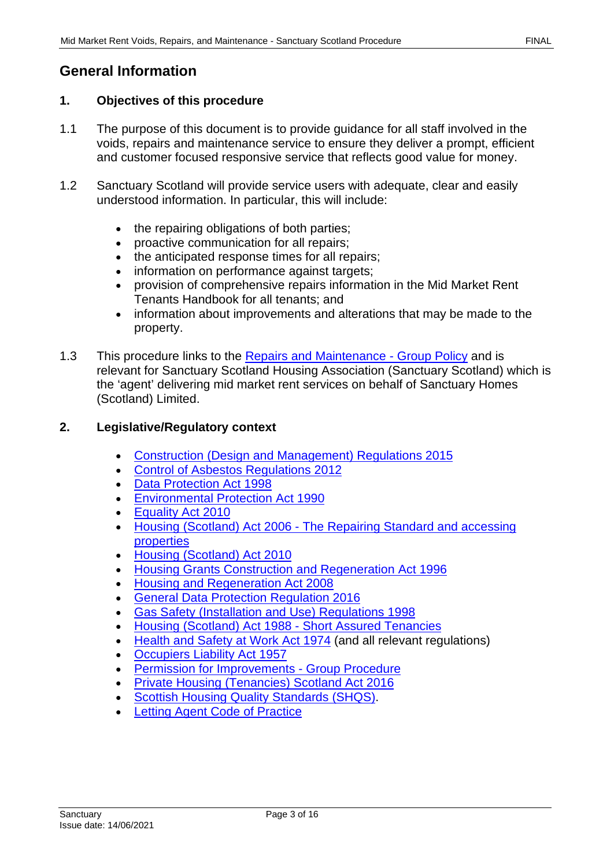# <span id="page-2-0"></span>**General Information**

#### <span id="page-2-1"></span>**1. Objectives of this procedure**

- 1.1 The purpose of this document is to provide guidance for all staff involved in the voids, repairs and maintenance service to ensure they deliver a prompt, efficient and customer focused responsive service that reflects good value for money.
- 1.2 Sanctuary Scotland will provide service users with adequate, clear and easily understood information. In particular, this will include:
	- the repairing obligations of both parties;
	- proactive communication for all repairs;
	- the anticipated response times for all repairs;
	- information on performance against targets;
	- provision of comprehensive repairs information in the Mid Market Rent Tenants Handbook for all tenants; and
	- information about improvements and alterations that may be made to the property.
- 1.3 This procedure links to the [Repairs and Maintenance Group](https://solis/PolicyManagement/policy/Policies/Forms/Policy%20Document%20Set/docsethomepage.aspx?ID=4007&FolderCTID=0x0120D52000DE99EA054D4DF944BE591D81E49729D0008C670BDB86BED740B0B89E295CD8357C&List=a03723e1-d48b-4958-9669-9b86a90ef8b0&RootFolder=%2FPolicyManagement%2Fpolicy%2FPolicies%2FRepairs%20and%20Maintenance%20%2D%20Group&RecSrc=%2FPolicyManagement%2Fpolicy%2FPolicies%2FRepairs%20and%20Maintenance%20%2D%20Group) Policy and is relevant for Sanctuary Scotland Housing Association (Sanctuary Scotland) which is the 'agent' delivering mid market rent services on behalf of Sanctuary Homes (Scotland) Limited.

### <span id="page-2-2"></span>**2. Legislative/Regulatory context**

- [Construction \(Design and Management\) Regulations](http://www.legislation.gov.uk/uksi/2015/51/contents/made) 2015
- [Control of Asbestos Regulations](http://www.legislation.gov.uk/uksi/2012/632/contents/made) 2012
- [Data Protection Act 1998](http://www.legislation.gov.uk/ukpga/1998/29/contents)
- [Environmental Protection Act 1990](http://www.opsi.gov.uk/acts/acts1990/ukpga_19900043_en_1)
- [Equality Act 2010](http://www.legislation.gov.uk/ukpga/2010/15/contents)
- [Housing \(Scotland\) Act 2006](http://www.legislation.gov.uk/asp/2006/1/contents)  The Repairing Standard and accessing properties
- [Housing \(Scotland\) Act 2010](http://www.legislation.gov.uk/asp/2010/17/contents)
- [Housing Grants Construction](http://www.legislation.gov.uk/ukpga/1996/53/contents) and Regeneration Act 1996
- Housing [and Regeneration Act 2008](http://www.legislation.gov.uk/ukpga/2008/17/contents)
- General Data Protection Regulation 2016
- [Gas Safety \(Installation and Use\) Regulations](http://www.opsi.gov.uk/si/si1998/19982451.htm) 1998
- [Housing \(Scotland\) Act 1988 Short Assured Tenancies](https://www.legislation.gov.uk/ukpga/1988/43/contents)
- Health and Safety [at Work Act 1974 \(](http://www.opsi.gov.uk/si/si2009/uksi_20090318_en_1)and all relevant regulations)
- [Occupiers Liability Act 1957](http://www.legislation.gov.uk/ukpga/Eliz2/5-6/31/contents)
- **[Permission for Improvements Group Procedure](https://solis/PolicyManagement/policy/Policies/Forms/Policy%20Document%20Set/docsethomepage.aspx?ID=4146&FolderCTID=0x0120D52000DE99EA054D4DF944BE591D81E49729D0008C670BDB86BED740B0B89E295CD8357C&List=a03723e1-d48b-4958-9669-9b86a90ef8b0&RootFolder=%2FPolicyManagement%2Fpolicy%2FPolicies%2FPermission%20for%20Improvements%20%2D%20Group&RecSrc=%2FPolicyManagement%2Fpolicy%2FPolicies%2FPermission%20for%20Improvements%20%2D%20Group)**
- [Private Housing \(Tenancies\) Scotland Act 2016](http://www.legislation.gov.uk/asp/2016/19/contents/enacted)
- [Scottish Housing Quality Standards \(SHQS\).](https://www.scottishhousingregulator.gov.uk/scottish-housing-quality-standard-shqs)
- **Letting Agent Code of Practice**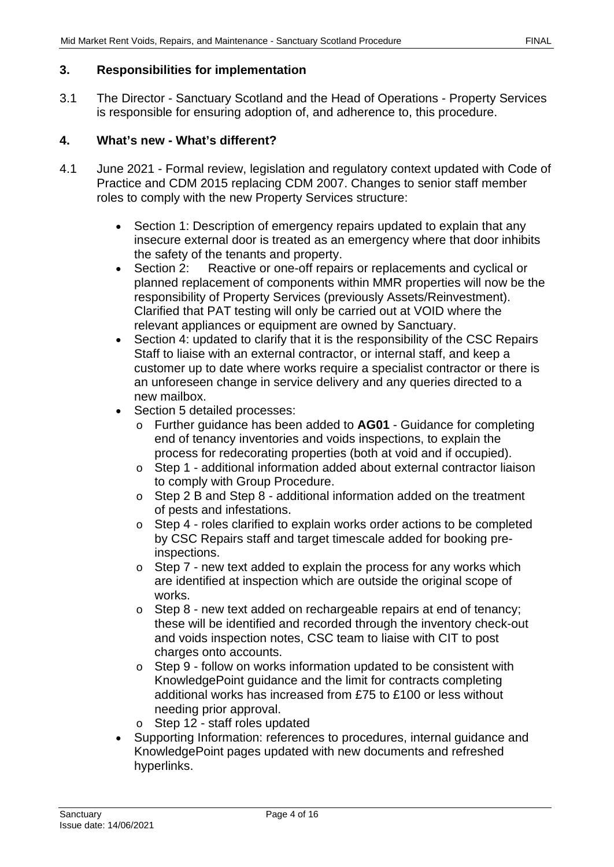## <span id="page-3-0"></span>**3. Responsibilities for implementation**

3.1 The Director - Sanctuary Scotland and the Head of Operations - Property Services is responsible for ensuring adoption of, and adherence to, this procedure.

# <span id="page-3-1"></span>**4. What's new - What's different?**

- 4.1 June 2021 Formal review, legislation and regulatory context updated with Code of Practice and CDM 2015 replacing CDM 2007. Changes to senior staff member roles to comply with the new Property Services structure:
	- Section 1: Description of emergency repairs updated to explain that any insecure external door is treated as an emergency where that door inhibits the safety of the tenants and property.<br>Section 2: Reactive or one-off repai
	- Section 2: Reactive or one-off repairs or replacements and cyclical or planned replacement of components within MMR properties will now be the responsibility of Property Services (previously Assets/Reinvestment). Clarified that PAT testing will only be carried out at VOID where the relevant appliances or equipment are owned by Sanctuary.
	- Section 4: updated to clarify that it is the responsibility of the CSC Repairs Staff to liaise with an external contractor, or internal staff, and keep a customer up to date where works require a specialist contractor or there is an unforeseen change in service delivery and any queries directed to a new mailbox.
	- Section 5 detailed processes:
		- o Further guidance has been added to **AG01** Guidance for completing end of tenancy inventories and voids inspections, to explain the process for redecorating properties (both at void and if occupied).
		- o Step 1 additional information added about external contractor liaison to comply with Group Procedure.
		- o Step 2 B and Step 8 additional information added on the treatment of pests and infestations.
		- o Step 4 roles clarified to explain works order actions to be completed by CSC Repairs staff and target timescale added for booking preinspections.
		- $\circ$  Step 7 new text added to explain the process for any works which are identified at inspection which are outside the original scope of works.
		- o Step 8 new text added on rechargeable repairs at end of tenancy; these will be identified and recorded through the inventory check-out and voids inspection notes, CSC team to liaise with CIT to post charges onto accounts.
		- o Step 9 follow on works information updated to be consistent with KnowledgePoint guidance and the limit for contracts completing additional works has increased from £75 to £100 or less without needing prior approval.
		- o Step 12 staff roles updated
	- Supporting Information: references to procedures, internal guidance and KnowledgePoint pages updated with new documents and refreshed hyperlinks.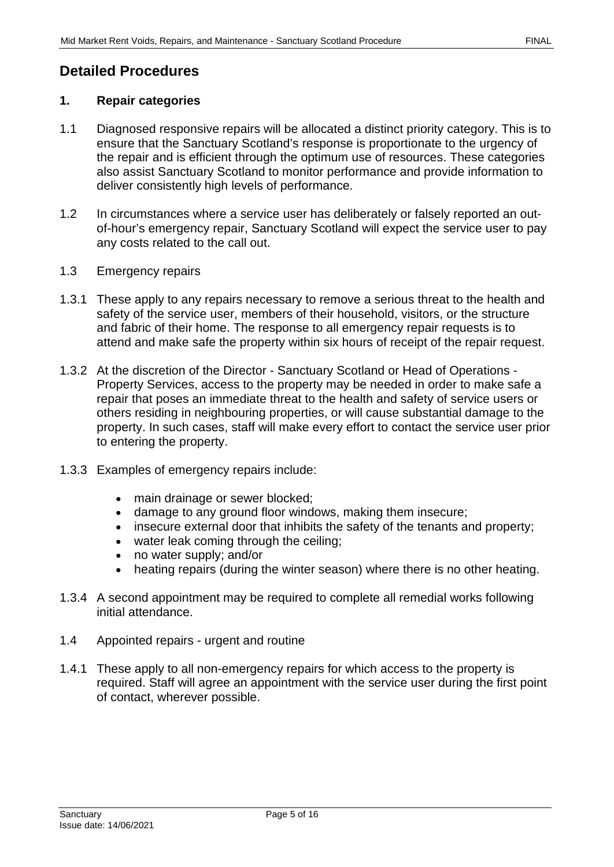# <span id="page-4-0"></span>**Detailed Procedures**

#### <span id="page-4-1"></span>**1. Repair categories**

- 1.1 Diagnosed responsive repairs will be allocated a distinct priority category. This is to ensure that the Sanctuary Scotland's response is proportionate to the urgency of the repair and is efficient through the optimum use of resources. These categories also assist Sanctuary Scotland to monitor performance and provide information to deliver consistently high levels of performance.
- 1.2 In circumstances where a service user has deliberately or falsely reported an outof-hour's emergency repair, Sanctuary Scotland will expect the service user to pay any costs related to the call out.
- 1.3 Emergency repairs
- 1.3.1 These apply to any repairs necessary to remove a serious threat to the health and safety of the service user, members of their household, visitors, or the structure and fabric of their home. The response to all emergency repair requests is to attend and make safe the property within six hours of receipt of the repair request.
- 1.3.2 At the discretion of the Director Sanctuary Scotland or Head of Operations Property Services, access to the property may be needed in order to make safe a repair that poses an immediate threat to the health and safety of service users or others residing in neighbouring properties, or will cause substantial damage to the property. In such cases, staff will make every effort to contact the service user prior to entering the property.
- 1.3.3 Examples of emergency repairs include:
	- main drainage or sewer blocked;
	- damage to any ground floor windows, making them insecure;
	- insecure external door that inhibits the safety of the tenants and property;
	- water leak coming through the ceiling;
	- no water supply; and/or
	- heating repairs (during the winter season) where there is no other heating.
- 1.3.4 A second appointment may be required to complete all remedial works following initial attendance.
- 1.4 Appointed repairs urgent and routine
- 1.4.1 These apply to all non-emergency repairs for which access to the property is required. Staff will agree an appointment with the service user during the first point of contact, wherever possible.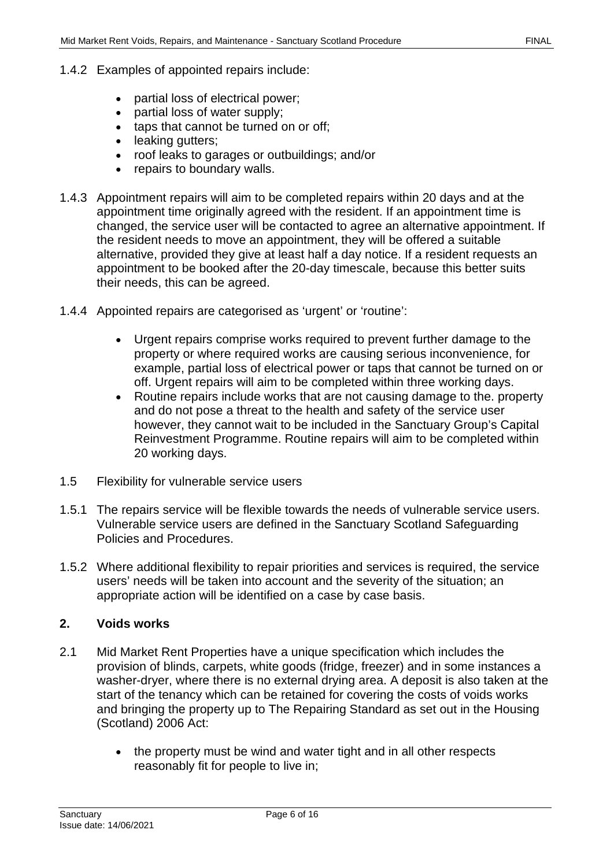- 1.4.2 Examples of appointed repairs include:
	- partial loss of electrical power;
	- partial loss of water supply;
	- taps that cannot be turned on or off;
	- leaking gutters;
	- roof leaks to garages or outbuildings; and/or
	- repairs to boundary walls.
- 1.4.3 Appointment repairs will aim to be completed repairs within 20 days and at the appointment time originally agreed with the resident. If an appointment time is changed, the service user will be contacted to agree an alternative appointment. If the resident needs to move an appointment, they will be offered a suitable alternative, provided they give at least half a day notice. If a resident requests an appointment to be booked after the 20-day timescale, because this better suits their needs, this can be agreed.
- 1.4.4 Appointed repairs are categorised as 'urgent' or 'routine':
	- Urgent repairs comprise works required to prevent further damage to the property or where required works are causing serious inconvenience, for example, partial loss of electrical power or taps that cannot be turned on or off. Urgent repairs will aim to be completed within three working days.
	- Routine repairs include works that are not causing damage to the. property and do not pose a threat to the health and safety of the service user however, they cannot wait to be included in the Sanctuary Group's Capital Reinvestment Programme. Routine repairs will aim to be completed within 20 working days.
- 1.5 Flexibility for vulnerable service users
- 1.5.1 The repairs service will be flexible towards the needs of vulnerable service users. Vulnerable service users are defined in the Sanctuary Scotland Safeguarding Policies and Procedures.
- 1.5.2 Where additional flexibility to repair priorities and services is required, the service users' needs will be taken into account and the severity of the situation; an appropriate action will be identified on a case by case basis.

### <span id="page-5-0"></span>**2. Voids works**

- 2.1 Mid Market Rent Properties have a unique specification which includes the provision of blinds, carpets, white goods (fridge, freezer) and in some instances a washer-dryer, where there is no external drying area. A deposit is also taken at the start of the tenancy which can be retained for covering the costs of voids works and bringing the property up to The Repairing Standard as set out in the Housing (Scotland) 2006 Act:
	- the property must be wind and water tight and in all other respects reasonably fit for people to live in;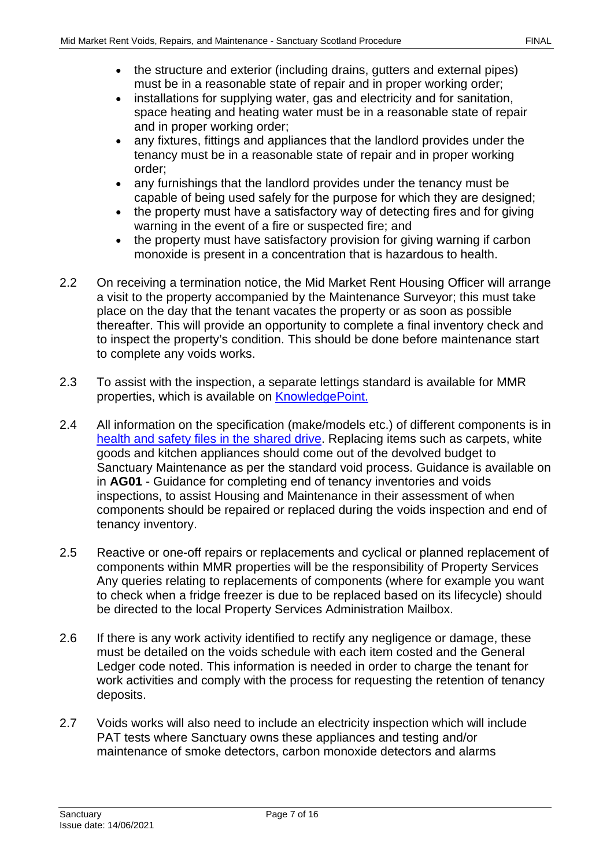- the structure and exterior (including drains, gutters and external pipes) must be in a reasonable state of repair and in proper working order;
- installations for supplying water, gas and electricity and for sanitation, space heating and heating water must be in a reasonable state of repair and in proper working order;
- any fixtures, fittings and appliances that the landlord provides under the tenancy must be in a reasonable state of repair and in proper working order;
- any furnishings that the landlord provides under the tenancy must be capable of being used safely for the purpose for which they are designed;
- the property must have a satisfactory way of detecting fires and for giving warning in the event of a fire or suspected fire; and
- the property must have satisfactory provision for giving warning if carbon monoxide is present in a concentration that is hazardous to health.
- 2.2 On receiving a termination notice, the Mid Market Rent Housing Officer will arrange a visit to the property accompanied by the Maintenance Surveyor; this must take place on the day that the tenant vacates the property or as soon as possible thereafter. This will provide an opportunity to complete a final inventory check and to inspect the property's condition. This should be done before maintenance start to complete any voids works.
- 2.3 To assist with the inspection, a separate lettings standard is available for MMR properties, which is available on **KnowledgePoint**.
- 2.4 All information on the specification (make/models etc.) of different components is in health and safety files [in the shared drive.](file://service/shared/Scotland/Glasgow/Development%20Scotland/Live%20Development%20Schemes/H&S%20Files) Replacing items such as carpets, white goods and kitchen appliances should come out of the devolved budget to Sanctuary Maintenance as per the standard void process. Guidance is available on in **AG01** - Guidance for completing end of tenancy inventories and voids inspections, to assist Housing and Maintenance in their assessment of when components should be repaired or replaced during the voids inspection and end of tenancy inventory.
- 2.5 Reactive or one-off repairs or replacements and cyclical or planned replacement of components within MMR properties will be the responsibility of Property Services Any queries relating to replacements of components (where for example you want to check when a fridge freezer is due to be replaced based on its lifecycle) should be directed to the local Property Services Administration Mailbox.
- 2.6 If there is any work activity identified to rectify any negligence or damage, these must be detailed on the voids schedule with each item costed and the General Ledger code noted. This information is needed in order to charge the tenant for work activities and comply with the process for requesting the retention of tenancy deposits.
- 2.7 Voids works will also need to include an electricity inspection which will include PAT tests where Sanctuary owns these appliances and testing and/or maintenance of smoke detectors, carbon monoxide detectors and alarms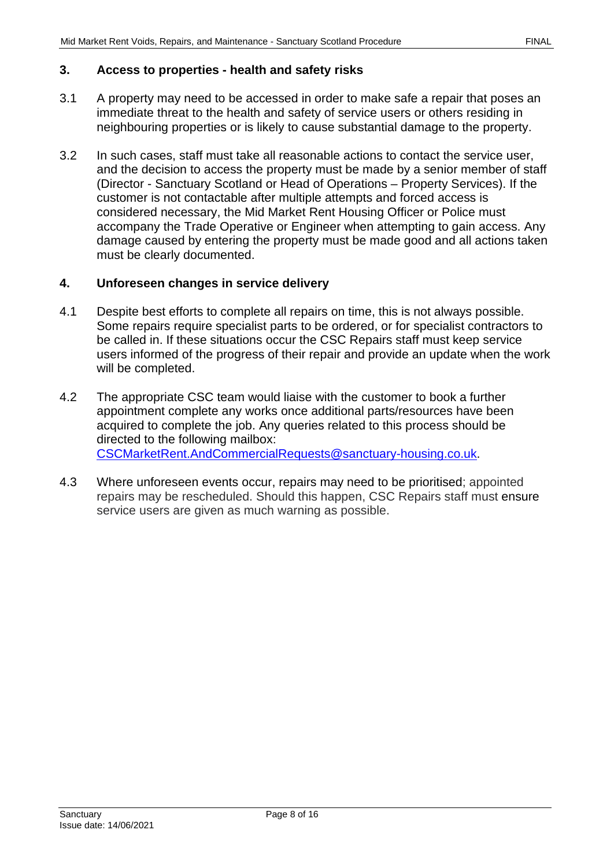#### <span id="page-7-0"></span>**3. Access to properties - health and safety risks**

- 3.1 A property may need to be accessed in order to make safe a repair that poses an immediate threat to the health and safety of service users or others residing in neighbouring properties or is likely to cause substantial damage to the property.
- 3.2 In such cases, staff must take all reasonable actions to contact the service user, and the decision to access the property must be made by a senior member of staff (Director - Sanctuary Scotland or Head of Operations – Property Services). If the customer is not contactable after multiple attempts and forced access is considered necessary, the Mid Market Rent Housing Officer or Police must accompany the Trade Operative or Engineer when attempting to gain access. Any damage caused by entering the property must be made good and all actions taken must be clearly documented.

#### <span id="page-7-1"></span>**4. Unforeseen changes in service delivery**

- 4.1 Despite best efforts to complete all repairs on time, this is not always possible. Some repairs require specialist parts to be ordered, or for specialist contractors to be called in. If these situations occur the CSC Repairs staff must keep service users informed of the progress of their repair and provide an update when the work will be completed.
- 4.2 The appropriate CSC team would liaise with the customer to book a further appointment complete any works once additional parts/resources have been acquired to complete the job. Any queries related to this process should be directed to the following mailbox: [CSCMarketRent.AndCommercialRequests@sanctuary-housing.co.uk.](mailto:CSCMarketRent.AndCommercialRequests@sanctuary-housing.co.uk)
- 4.3 Where unforeseen events occur, repairs may need to be prioritised; appointed repairs may be rescheduled. Should this happen, CSC Repairs staff must ensure service users are given as much warning as possible.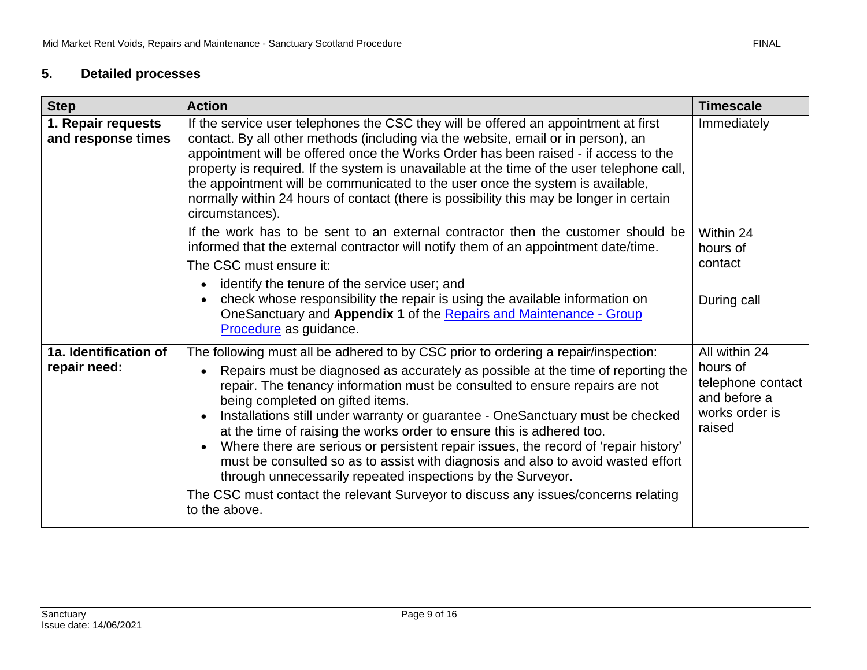# **5. Detailed processes**

<span id="page-8-0"></span>

| <b>Step</b>                              | <b>Action</b>                                                                                                                                                                                                                                                                                                                                                                                                                                                                                                                                                                                                                                                                                                                                                                                         | <b>Timescale</b>                                                                           |
|------------------------------------------|-------------------------------------------------------------------------------------------------------------------------------------------------------------------------------------------------------------------------------------------------------------------------------------------------------------------------------------------------------------------------------------------------------------------------------------------------------------------------------------------------------------------------------------------------------------------------------------------------------------------------------------------------------------------------------------------------------------------------------------------------------------------------------------------------------|--------------------------------------------------------------------------------------------|
| 1. Repair requests<br>and response times | If the service user telephones the CSC they will be offered an appointment at first<br>contact. By all other methods (including via the website, email or in person), an<br>appointment will be offered once the Works Order has been raised - if access to the<br>property is required. If the system is unavailable at the time of the user telephone call,<br>the appointment will be communicated to the user once the system is available,<br>normally within 24 hours of contact (there is possibility this may be longer in certain<br>circumstances).                                                                                                                                                                                                                                         | Immediately                                                                                |
|                                          | If the work has to be sent to an external contractor then the customer should be<br>informed that the external contractor will notify them of an appointment date/time.<br>The CSC must ensure it:<br>identify the tenure of the service user; and<br>check whose responsibility the repair is using the available information on<br>OneSanctuary and Appendix 1 of the Repairs and Maintenance - Group<br>Procedure as guidance.                                                                                                                                                                                                                                                                                                                                                                     | Within 24<br>hours of<br>contact<br>During call                                            |
| 1a. Identification of<br>repair need:    | The following must all be adhered to by CSC prior to ordering a repair/inspection:<br>Repairs must be diagnosed as accurately as possible at the time of reporting the<br>repair. The tenancy information must be consulted to ensure repairs are not<br>being completed on gifted items.<br>Installations still under warranty or guarantee - OneSanctuary must be checked<br>at the time of raising the works order to ensure this is adhered too.<br>Where there are serious or persistent repair issues, the record of 'repair history'<br>must be consulted so as to assist with diagnosis and also to avoid wasted effort<br>through unnecessarily repeated inspections by the Surveyor.<br>The CSC must contact the relevant Surveyor to discuss any issues/concerns relating<br>to the above. | All within 24<br>hours of<br>telephone contact<br>and before a<br>works order is<br>raised |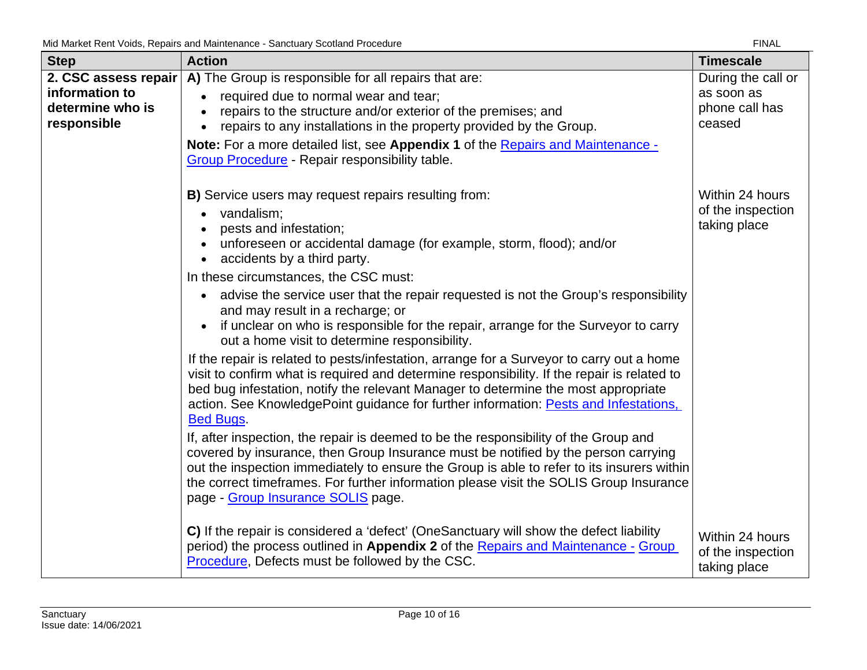| <b>Step</b>                                       | <b>Action</b>                                                                                                                                                                                                                                                                                                                                                                                            | <b>Timescale</b>                                     |
|---------------------------------------------------|----------------------------------------------------------------------------------------------------------------------------------------------------------------------------------------------------------------------------------------------------------------------------------------------------------------------------------------------------------------------------------------------------------|------------------------------------------------------|
| 2. CSC assess repair                              | A) The Group is responsible for all repairs that are:                                                                                                                                                                                                                                                                                                                                                    | During the call or                                   |
| information to<br>determine who is<br>responsible | required due to normal wear and tear;<br>repairs to the structure and/or exterior of the premises; and<br>repairs to any installations in the property provided by the Group.                                                                                                                                                                                                                            | as soon as<br>phone call has<br>ceased               |
|                                                   | Note: For a more detailed list, see Appendix 1 of the Repairs and Maintenance -<br>Group Procedure - Repair responsibility table.                                                                                                                                                                                                                                                                        |                                                      |
|                                                   | B) Service users may request repairs resulting from:<br>vandalism;<br>pests and infestation;<br>unforeseen or accidental damage (for example, storm, flood); and/or<br>accidents by a third party.<br>$\bullet$<br>In these circumstances, the CSC must:                                                                                                                                                 | Within 24 hours<br>of the inspection<br>taking place |
|                                                   | advise the service user that the repair requested is not the Group's responsibility<br>and may result in a recharge; or<br>if unclear on who is responsible for the repair, arrange for the Surveyor to carry<br>out a home visit to determine responsibility.                                                                                                                                           |                                                      |
|                                                   | If the repair is related to pests/infestation, arrange for a Surveyor to carry out a home<br>visit to confirm what is required and determine responsibility. If the repair is related to<br>bed bug infestation, notify the relevant Manager to determine the most appropriate<br>action. See KnowledgePoint guidance for further information: Pests and Infestations,<br><b>Bed Bugs.</b>               |                                                      |
|                                                   | If, after inspection, the repair is deemed to be the responsibility of the Group and<br>covered by insurance, then Group Insurance must be notified by the person carrying<br>out the inspection immediately to ensure the Group is able to refer to its insurers within<br>the correct timeframes. For further information please visit the SOLIS Group Insurance<br>page - Group Insurance SOLIS page. |                                                      |
|                                                   | C) If the repair is considered a 'defect' (OneSanctuary will show the defect liability<br>period) the process outlined in Appendix 2 of the Repairs and Maintenance - Group<br>Procedure, Defects must be followed by the CSC.                                                                                                                                                                           | Within 24 hours<br>of the inspection<br>taking place |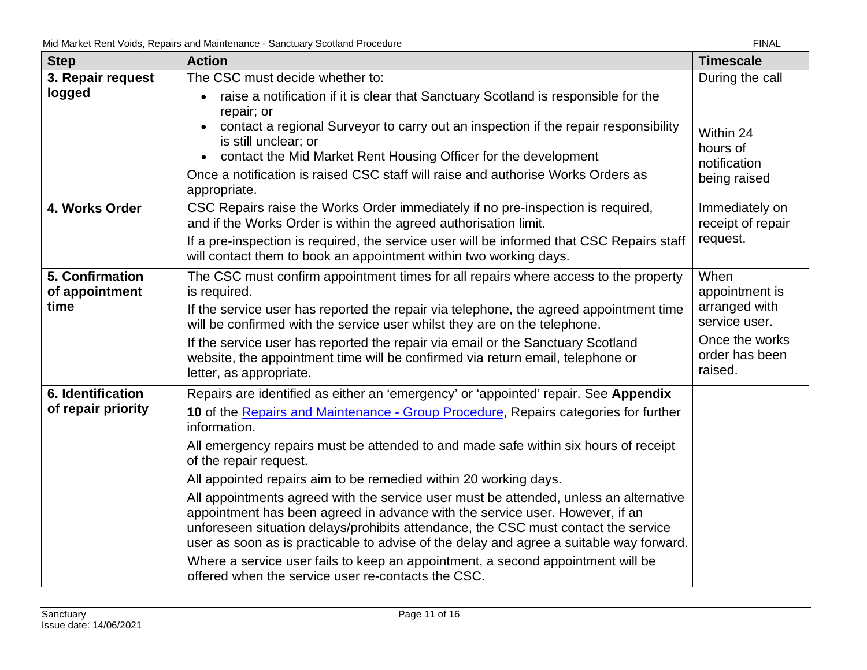| <b>Step</b>                       | <b>Action</b>                                                                                                                                                                                                                                                                                                                                          | <b>Timescale</b>                                |
|-----------------------------------|--------------------------------------------------------------------------------------------------------------------------------------------------------------------------------------------------------------------------------------------------------------------------------------------------------------------------------------------------------|-------------------------------------------------|
| 3. Repair request                 | The CSC must decide whether to:                                                                                                                                                                                                                                                                                                                        | During the call                                 |
| logged                            | raise a notification if it is clear that Sanctuary Scotland is responsible for the<br>repair; or<br>contact a regional Surveyor to carry out an inspection if the repair responsibility<br>is still unclear; or<br>contact the Mid Market Rent Housing Officer for the development                                                                     | Within 24<br>hours of<br>notification           |
|                                   | Once a notification is raised CSC staff will raise and authorise Works Orders as<br>appropriate.                                                                                                                                                                                                                                                       | being raised                                    |
| 4. Works Order                    | CSC Repairs raise the Works Order immediately if no pre-inspection is required,<br>and if the Works Order is within the agreed authorisation limit.<br>If a pre-inspection is required, the service user will be informed that CSC Repairs staff                                                                                                       | Immediately on<br>receipt of repair<br>request. |
|                                   | will contact them to book an appointment within two working days.                                                                                                                                                                                                                                                                                      |                                                 |
| 5. Confirmation<br>of appointment | The CSC must confirm appointment times for all repairs where access to the property<br>is required.                                                                                                                                                                                                                                                    | When<br>appointment is                          |
| time                              | If the service user has reported the repair via telephone, the agreed appointment time<br>will be confirmed with the service user whilst they are on the telephone.                                                                                                                                                                                    | arranged with<br>service user.                  |
|                                   | If the service user has reported the repair via email or the Sanctuary Scotland<br>website, the appointment time will be confirmed via return email, telephone or<br>letter, as appropriate.                                                                                                                                                           | Once the works<br>order has been<br>raised.     |
| 6. Identification                 | Repairs are identified as either an 'emergency' or 'appointed' repair. See Appendix                                                                                                                                                                                                                                                                    |                                                 |
| of repair priority                | 10 of the Repairs and Maintenance - Group Procedure, Repairs categories for further<br>information.                                                                                                                                                                                                                                                    |                                                 |
|                                   | All emergency repairs must be attended to and made safe within six hours of receipt<br>of the repair request.                                                                                                                                                                                                                                          |                                                 |
|                                   | All appointed repairs aim to be remedied within 20 working days.                                                                                                                                                                                                                                                                                       |                                                 |
|                                   | All appointments agreed with the service user must be attended, unless an alternative<br>appointment has been agreed in advance with the service user. However, if an<br>unforeseen situation delays/prohibits attendance, the CSC must contact the service<br>user as soon as is practicable to advise of the delay and agree a suitable way forward. |                                                 |
|                                   | Where a service user fails to keep an appointment, a second appointment will be<br>offered when the service user re-contacts the CSC.                                                                                                                                                                                                                  |                                                 |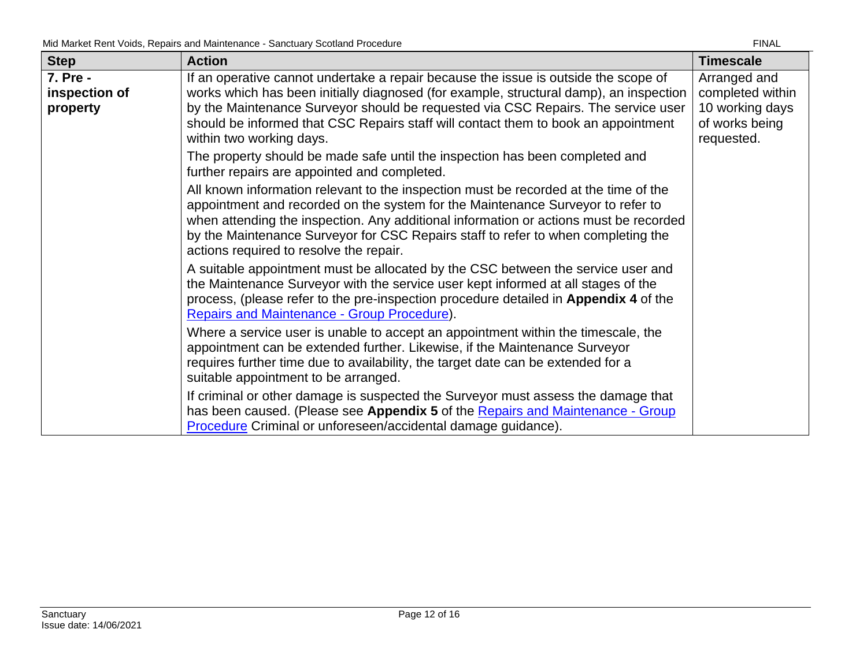| <b>Step</b>                           | <b>Action</b>                                                                                                                                                                                                                                                                                                                                                                                    | <b>Timescale</b>                                                                    |
|---------------------------------------|--------------------------------------------------------------------------------------------------------------------------------------------------------------------------------------------------------------------------------------------------------------------------------------------------------------------------------------------------------------------------------------------------|-------------------------------------------------------------------------------------|
| 7. Pre -<br>inspection of<br>property | If an operative cannot undertake a repair because the issue is outside the scope of<br>works which has been initially diagnosed (for example, structural damp), an inspection<br>by the Maintenance Surveyor should be requested via CSC Repairs. The service user<br>should be informed that CSC Repairs staff will contact them to book an appointment<br>within two working days.             | Arranged and<br>completed within<br>10 working days<br>of works being<br>requested. |
|                                       | The property should be made safe until the inspection has been completed and<br>further repairs are appointed and completed.                                                                                                                                                                                                                                                                     |                                                                                     |
|                                       | All known information relevant to the inspection must be recorded at the time of the<br>appointment and recorded on the system for the Maintenance Surveyor to refer to<br>when attending the inspection. Any additional information or actions must be recorded<br>by the Maintenance Surveyor for CSC Repairs staff to refer to when completing the<br>actions required to resolve the repair. |                                                                                     |
|                                       | A suitable appointment must be allocated by the CSC between the service user and<br>the Maintenance Surveyor with the service user kept informed at all stages of the<br>process, (please refer to the pre-inspection procedure detailed in Appendix 4 of the<br>Repairs and Maintenance - Group Procedure).                                                                                     |                                                                                     |
|                                       | Where a service user is unable to accept an appointment within the timescale, the<br>appointment can be extended further. Likewise, if the Maintenance Surveyor<br>requires further time due to availability, the target date can be extended for a<br>suitable appointment to be arranged.                                                                                                      |                                                                                     |
|                                       | If criminal or other damage is suspected the Surveyor must assess the damage that<br>has been caused. (Please see Appendix 5 of the Repairs and Maintenance - Group<br>Procedure Criminal or unforeseen/accidental damage guidance).                                                                                                                                                             |                                                                                     |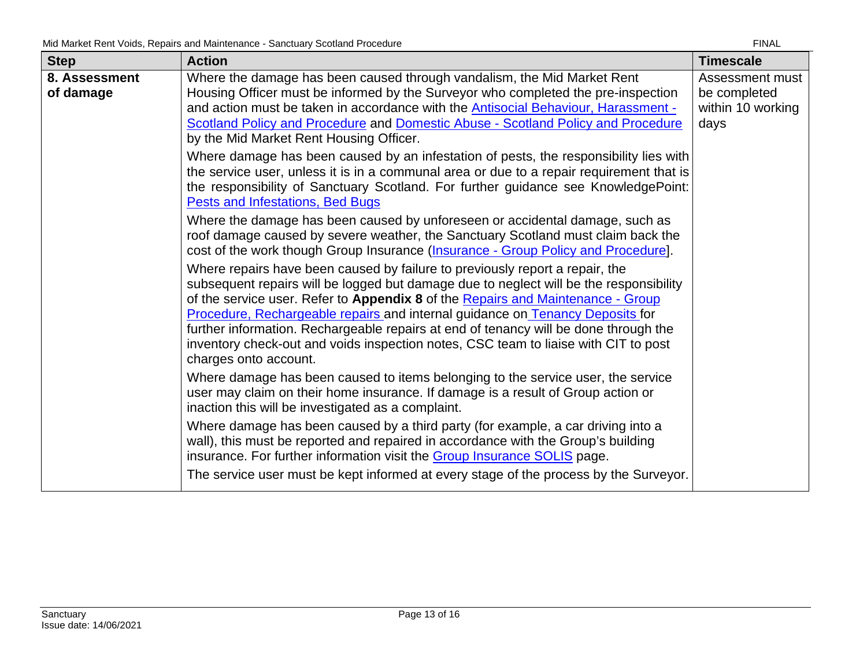| <b>Step</b>                | <b>Action</b>                                                                                                                                                                                                                                                                                                                                                                                                                                                                                                                                      | <b>Timescale</b>                                             |
|----------------------------|----------------------------------------------------------------------------------------------------------------------------------------------------------------------------------------------------------------------------------------------------------------------------------------------------------------------------------------------------------------------------------------------------------------------------------------------------------------------------------------------------------------------------------------------------|--------------------------------------------------------------|
| 8. Assessment<br>of damage | Where the damage has been caused through vandalism, the Mid Market Rent<br>Housing Officer must be informed by the Surveyor who completed the pre-inspection<br>and action must be taken in accordance with the <b>Antisocial Behaviour</b> , Harassment -<br>Scotland Policy and Procedure and Domestic Abuse - Scotland Policy and Procedure<br>by the Mid Market Rent Housing Officer.                                                                                                                                                          | Assessment must<br>be completed<br>within 10 working<br>days |
|                            | Where damage has been caused by an infestation of pests, the responsibility lies with<br>the service user, unless it is in a communal area or due to a repair requirement that is<br>the responsibility of Sanctuary Scotland. For further guidance see KnowledgePoint:<br>Pests and Infestations, Bed Bugs                                                                                                                                                                                                                                        |                                                              |
|                            | Where the damage has been caused by unforeseen or accidental damage, such as<br>roof damage caused by severe weather, the Sanctuary Scotland must claim back the<br>cost of the work though Group Insurance (Insurance - Group Policy and Procedure).                                                                                                                                                                                                                                                                                              |                                                              |
|                            | Where repairs have been caused by failure to previously report a repair, the<br>subsequent repairs will be logged but damage due to neglect will be the responsibility<br>of the service user. Refer to Appendix 8 of the Repairs and Maintenance - Group<br>Procedure, Rechargeable repairs and internal guidance on Tenancy Deposits for<br>further information. Rechargeable repairs at end of tenancy will be done through the<br>inventory check-out and voids inspection notes, CSC team to liaise with CIT to post<br>charges onto account. |                                                              |
|                            | Where damage has been caused to items belonging to the service user, the service<br>user may claim on their home insurance. If damage is a result of Group action or<br>inaction this will be investigated as a complaint.                                                                                                                                                                                                                                                                                                                         |                                                              |
|                            | Where damage has been caused by a third party (for example, a car driving into a<br>wall), this must be reported and repaired in accordance with the Group's building<br>insurance. For further information visit the <b>Group Insurance SOLIS</b> page.<br>The service user must be kept informed at every stage of the process by the Surveyor.                                                                                                                                                                                                  |                                                              |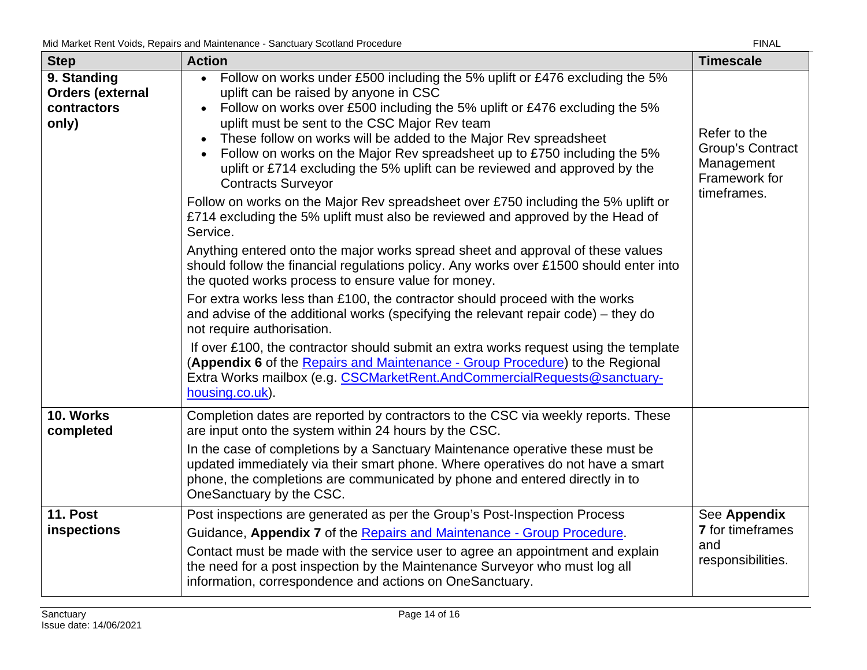| <b>Step</b>                                                    | without voldo, hopdilo dha mailitonahoo confotaaly cootidha i roocdarc<br><b>Action</b>                                                                                                                                                                                                                                                                                                                                                                                                                                                                                                                                                                                                                                                                                                                                                                                                                                                                                                                                                                                                                                                                                                                                                                                                                                                                                                                           | <b>Timescale</b>                                                               |
|----------------------------------------------------------------|-------------------------------------------------------------------------------------------------------------------------------------------------------------------------------------------------------------------------------------------------------------------------------------------------------------------------------------------------------------------------------------------------------------------------------------------------------------------------------------------------------------------------------------------------------------------------------------------------------------------------------------------------------------------------------------------------------------------------------------------------------------------------------------------------------------------------------------------------------------------------------------------------------------------------------------------------------------------------------------------------------------------------------------------------------------------------------------------------------------------------------------------------------------------------------------------------------------------------------------------------------------------------------------------------------------------------------------------------------------------------------------------------------------------|--------------------------------------------------------------------------------|
| 9. Standing<br><b>Orders (external</b><br>contractors<br>only) | Follow on works under £500 including the 5% uplift or £476 excluding the 5%<br>uplift can be raised by anyone in CSC<br>Follow on works over £500 including the 5% uplift or £476 excluding the 5%<br>uplift must be sent to the CSC Major Rev team<br>These follow on works will be added to the Major Rev spreadsheet<br>Follow on works on the Major Rev spreadsheet up to £750 including the 5%<br>uplift or £714 excluding the 5% uplift can be reviewed and approved by the<br><b>Contracts Surveyor</b><br>Follow on works on the Major Rev spreadsheet over £750 including the 5% uplift or<br>£714 excluding the 5% uplift must also be reviewed and approved by the Head of<br>Service.<br>Anything entered onto the major works spread sheet and approval of these values<br>should follow the financial regulations policy. Any works over £1500 should enter into<br>the quoted works process to ensure value for money.<br>For extra works less than £100, the contractor should proceed with the works<br>and advise of the additional works (specifying the relevant repair code) – they do<br>not require authorisation.<br>If over £100, the contractor should submit an extra works request using the template<br>(Appendix 6 of the Repairs and Maintenance - Group Procedure) to the Regional<br>Extra Works mailbox (e.g. CSCMarketRent.AndCommercialRequests@sanctuary-<br>housing.co.uk). | Refer to the<br>Group's Contract<br>Management<br>Framework for<br>timeframes. |
| 10. Works<br>completed                                         | Completion dates are reported by contractors to the CSC via weekly reports. These<br>are input onto the system within 24 hours by the CSC.<br>In the case of completions by a Sanctuary Maintenance operative these must be<br>updated immediately via their smart phone. Where operatives do not have a smart<br>phone, the completions are communicated by phone and entered directly in to<br>OneSanctuary by the CSC.                                                                                                                                                                                                                                                                                                                                                                                                                                                                                                                                                                                                                                                                                                                                                                                                                                                                                                                                                                                         |                                                                                |
| <b>11. Post</b><br>inspections                                 | Post inspections are generated as per the Group's Post-Inspection Process<br>Guidance, Appendix 7 of the Repairs and Maintenance - Group Procedure.<br>Contact must be made with the service user to agree an appointment and explain<br>the need for a post inspection by the Maintenance Surveyor who must log all<br>information, correspondence and actions on OneSanctuary.                                                                                                                                                                                                                                                                                                                                                                                                                                                                                                                                                                                                                                                                                                                                                                                                                                                                                                                                                                                                                                  | See Appendix<br><b>7</b> for timeframes<br>and<br>responsibilities.            |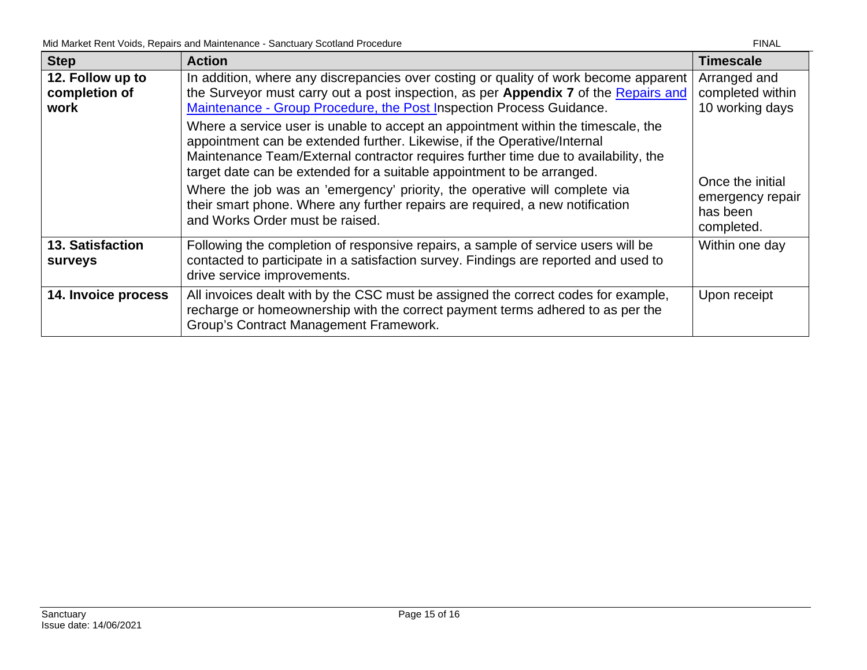| <b>Step</b>                               | <b>Action</b>                                                                                                                                                                                                                                                                                                                            | <b>Timescale</b>                                    |
|-------------------------------------------|------------------------------------------------------------------------------------------------------------------------------------------------------------------------------------------------------------------------------------------------------------------------------------------------------------------------------------------|-----------------------------------------------------|
| 12. Follow up to<br>completion of<br>work | In addition, where any discrepancies over costing or quality of work become apparent<br>the Surveyor must carry out a post inspection, as per Appendix 7 of the Repairs and<br>Maintenance - Group Procedure, the Post Inspection Process Guidance.<br>Where a service user is unable to accept an appointment within the timescale, the | Arranged and<br>completed within<br>10 working days |
|                                           | appointment can be extended further. Likewise, if the Operative/Internal<br>Maintenance Team/External contractor requires further time due to availability, the<br>target date can be extended for a suitable appointment to be arranged.                                                                                                | Once the initial                                    |
|                                           | Where the job was an 'emergency' priority, the operative will complete via<br>their smart phone. Where any further repairs are required, a new notification<br>and Works Order must be raised.                                                                                                                                           | emergency repair<br>has been<br>completed.          |
| <b>13. Satisfaction</b><br>surveys        | Following the completion of responsive repairs, a sample of service users will be<br>contacted to participate in a satisfaction survey. Findings are reported and used to<br>drive service improvements.                                                                                                                                 | Within one day                                      |
| 14. Invoice process                       | All invoices dealt with by the CSC must be assigned the correct codes for example,<br>recharge or homeownership with the correct payment terms adhered to as per the<br>Group's Contract Management Framework.                                                                                                                           | Upon receipt                                        |